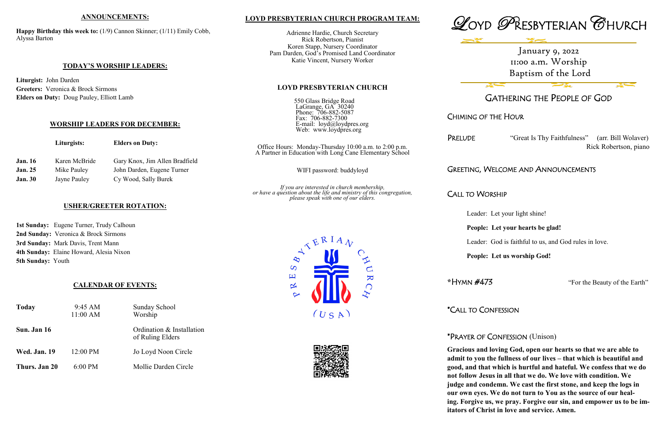## **LOYD PRESBYTERIAN CHURCH PROGRAM TEAM:**

Adrienne Hardie, Church Secretary Rick Robertson, Pianist Koren Stapp, Nursery Coordinator Pam Darden, God's Promised Land Coordinator Katie Vincent, Nursery Worker

**LOYD PRESBYTERIAN CHURCH**

550 Glass Bridge Road

Fax: 706-882-7300

LaGrange, GA 30240 Phone: 706-882-5087

> E-mail: loyd@loydpres.org Web: www.loydpres.org

> > PRELUDE "Great Is Thy Faithfulness" (arr. Bill Wolaver) Rick Robertson, piano

*If you are interested in church membership, or have a question about the life and ministry of this congregation, please speak with one of our elders.*





# GATHERING THE PEOPLE OF GOD

CHIMING OF THE HOUR

# GREETING, WELCOME AND ANNOUNCEMENTS

# CALL TO WORSHIP

- Leader: Let your light shine!
- **People: Let your hearts be glad!**
- Leader: God is faithful to us, and God rules in love.
- **People: Let us worship God!**

**\***HYMN #473 "For the Beauty of the Earth"

\*CALL TO CONFESSION

# \*PRAYER OF CONFESSION (Unison)

|                | Liturgists:   | <b>Elders on Duty:</b>         | Office Hours: Monday-Thursday 10:00 a.m. to 2:00 p.m.<br>A Partner in Education with Long Cane Elementary School |
|----------------|---------------|--------------------------------|------------------------------------------------------------------------------------------------------------------|
| <b>Jan.</b> 16 | Karen McBride | Gary Knox, Jim Allen Bradfield |                                                                                                                  |
| <b>Jan. 25</b> | Mike Pauley   | John Darden, Eugene Turner     | WIFI password: buddyloyd                                                                                         |
| <b>Jan. 30</b> | Jayne Pauley  | Cy Wood, Sally Burek           |                                                                                                                  |
|                |               |                                | $I \cap I$                                                                                                       |

**Gracious and loving God, open our hearts so that we are able to admit to you the fullness of our lives – that which is beautiful and good, and that which is hurtful and hateful. We confess that we do not follow Jesus in all that we do. We love with condition. We judge and condemn. We cast the first stone, and keep the logs in our own eyes. We do not turn to You as the source of our healing. Forgive us, we pray. Forgive our sin, and empower us to be imitators of Christ in love and service. Amen.**





## **ANNOUNCEMENTS:**

**Happy Birthday this week to:** (1/9) Cannon Skinner; (1/11) Emily Cobb, Alyssa Barton

### **TODAY'S WORSHIP LEADERS:**

**Liturgist:** John Darden **Greeters:** Veronica & Brock Sirmons **Elders on Duty:** Doug Pauley, Elliott Lamb

### **WORSHIP LEADERS FOR DECEMBER:**

# **USHER/GREETER ROTATION:**

**1st Sunday:** Eugene Turner, Trudy Calhoun **2nd Sunday:** Veronica & Brock Sirmons **3rd Sunday:** Mark Davis, Trent Mann **4th Sunday:** Elaine Howard, Alesia Nixon **5th Sunday:** Youth

### **CALENDAR OF EVENTS:**

| <b>Today</b>        | 9:45 AM<br>11:00 AM | Sunday School<br>Worship                      |
|---------------------|---------------------|-----------------------------------------------|
| Sun. Jan 16         |                     | Ordination & Installation<br>of Ruling Elders |
| <b>Wed. Jan. 19</b> | 12:00 PM            | Jo Loyd Noon Circle                           |
| Thurs. Jan 20       | $6:00$ PM           | Mollie Darden Circle                          |

January 9, 2022 11:00 a.m. Worship Baptism of the Lord